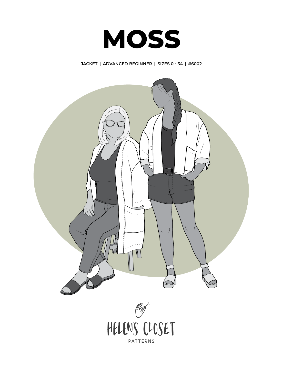

# **JACKET | ADVANCED BEGINNER | SIZES 0 - 34 | #6002**

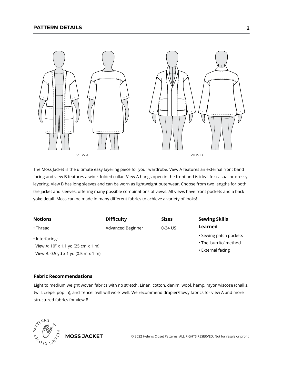

The Moss Jacket is the ultimate easy layering piece for your wardrobe. View A features an external front band facing and view B features a wide, folded collar. View A hangs open in the front and is ideal for casual or dressy layering. View B has long sleeves and can be worn as lightweight outerwear. Choose from two lengths for both the jacket and sleeves, offering many possible combinations of views. All views have front pockets and a back yoke detail. Moss can be made in many different fabrics to achieve a variety of looks!

| <b>Notions</b>                                       | <b>Difficulty</b> | <b>Sizes</b> | <b>Sewing Skills</b>                             |
|------------------------------------------------------|-------------------|--------------|--------------------------------------------------|
| $\cdot$ Thread                                       | Advanced Beginner | 0-34 US      | Learned                                          |
| • Interfacing:<br>View A: 10" x 1.1 yd (25 cm x 1 m) |                   |              | • Sewing patch pockets<br>• The 'burrito' method |
| View B: 0.5 yd x 1 yd (0.5 m x 1 m)                  |                   |              | • External facing                                |

#### **Fabric Recommendations**

Light to medium weight woven fabrics with no stretch. Linen, cotton, denim, wool, hemp, rayon/viscose (challis, twill, crepe, poplin), and Tencel twill will work well. We recommend drapier/flowy fabrics for view A and more structured fabrics for view B.

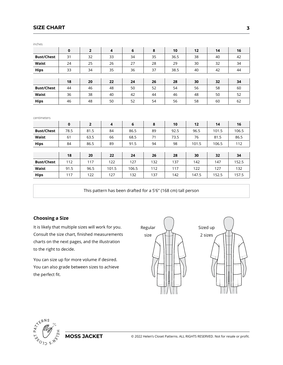## **SIZE CHART**

| $\mathbf 0$ | $\overline{2}$ | $\overline{\mathbf{4}}$ | 6        | 8            | 10       | 12                  | 14         | 16            |
|-------------|----------------|-------------------------|----------|--------------|----------|---------------------|------------|---------------|
| 31          | 32             | 33                      | 34       | 35           | 36.5     | 38                  | 40         | 42            |
| 24          | 25             | 26                      | 27       | 28           | 29       | 30                  | 32         | 34            |
| 33          | 34             | 35                      | 36       | 37           | 38.5     | 40                  | 42         | 44            |
|             |                |                         |          |              |          |                     |            |               |
| 18          | 20             | 22                      | 24       | 26           | 28       | 30                  | 32         | 34            |
| 44          | 46             | 48                      | 50       | 52           | 54       | 56                  | 58         | 60            |
| 36          | 38             | 40                      | 42       | 44           | 46       | 48                  | 50         | 52            |
| 46          | 48             | 50                      | 52       | 54           | 56       | 58                  | 60         | 62            |
| $\mathbf 0$ | $\overline{2}$ | $\overline{\mathbf{4}}$ | 6        | 8            | 10       | 12                  | 14         | 16            |
|             |                |                         |          |              |          |                     |            |               |
|             |                |                         |          |              |          |                     |            | 106.5         |
|             |                |                         |          |              |          |                     |            | 86.5          |
| 84          | 86.5           | 89                      | 91.5     | 94           | 98       | 101.5               | 106.5      | 112           |
|             |                |                         |          |              |          |                     |            |               |
| 18          | 20             | 22                      | 24       | 26           | 28       | 30                  | 32         | 34            |
| 112         | 117            | 122                     | 127      | 132          | 137      | 142                 | 147        | 152.5         |
| 91.5        | 96.5           | 101.5                   | 106.5    | 112          | 117      | 122                 | 127        | 132           |
| 117         | 122            | 127                     | 132      | 137          |          | 147.5               | 152.5      | 157.5         |
|             | 78.5<br>61     | 81.5<br>63.5            | 84<br>66 | 86.5<br>68.5 | 89<br>71 | 92.5<br>73.5<br>142 | 96.5<br>76 | 101.5<br>81.5 |

This pattern has been drafted for a 5'6" (168 cm) tall person

### **Choosing a Size**

It is likely that multiple sizes will work for you. Consult the size chart, finished measurements charts on the next pages, and the illustration to the right to decide.

You can size up for more volume if desired. You can also grade between sizes to achieve the perfect fit.



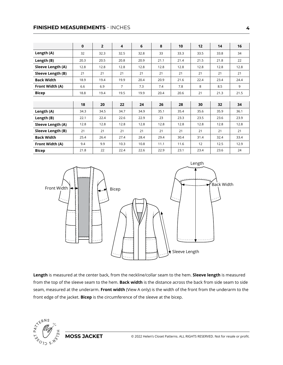### **FINISHED MEASUREMENTS** - INCHES

|                   | 0    | $\overline{2}$ | 4    | 6    | 8    | 10   | 12   | 14   | 16   |
|-------------------|------|----------------|------|------|------|------|------|------|------|
| Length (A)        | 32   | 32.3           | 32.5 | 32.8 | 33   | 33.3 | 33.5 | 33.8 | 34   |
| Length (B)        | 20.3 | 20.5           | 20.8 | 20.9 | 21.1 | 21.4 | 21.5 | 21.8 | 22   |
| Sleeve Length (A) | 12.8 | 12.8           | 12.8 | 12.8 | 12.8 | 12.8 | 12.8 | 12.8 | 12.8 |
| Sleeve Length (B) | 21   | 21             | 21   | 21   | 21   | 21   | 21   | 21   | 21   |
| <b>Back Width</b> | 18.9 | 19.4           | 19.9 | 20.4 | 20.9 | 21.6 | 22.4 | 23.4 | 24.4 |
| Front Width (A)   | 6.6  | 6.9            | 7    | 7.3  | 7.4  | 7.8  | 8    | 8.5  | 9    |
| <b>Bicep</b>      | 18.8 | 19.4           | 19.5 | 19.9 | 20.4 | 20.6 | 21   | 21.3 | 21.5 |
|                   |      |                |      |      |      |      |      |      |      |
|                   | 18   | 20             | 22   | 24   | 26   | 28   | 30   | 32   | 34   |
| Length (A)        | 34.3 | 34.5           | 34.7 | 34.9 | 35.1 | 35.4 | 35.6 | 35.9 | 36.1 |
| Length (B)        | 22.1 | 22.4           | 22.6 | 22.9 | 23   | 23.3 | 23.5 | 23.6 | 23.9 |
| Sleeve Length (A) | 12.8 | 12.8           | 12.8 | 12.8 | 12.8 | 12.8 | 12.8 | 12.8 | 12.8 |
| Sleeve Length (B) | 21   | 21             | 21   | 21   | 21   | 21   | 21   | 21   | 21   |
| <b>Back Width</b> | 25.4 | 26.4           | 27.4 | 28.4 | 29.4 | 30.4 | 31.4 | 32.4 | 33.4 |
| Front Width (A)   | 9.4  | 9.9            | 10.3 | 10.8 | 11.1 | 11.6 | 12   | 12.5 | 12.9 |
| <b>Bicep</b>      | 21.8 | 22             | 22.4 | 22.6 | 22.9 | 23.1 | 23.4 | 23.6 | 24   |



**Length** is measured at the center back, from the neckline/collar seam to the hem. **Sleeve length** is measured from the top of the sleeve seam to the hem. **Back width** is the distance across the back from side seam to side seam, measured at the underarm. **Front width** (View A only) is the width of the front from the underarm to the front edge of the jacket. **Bicep** is the circumference of the sleeve at the bicep.

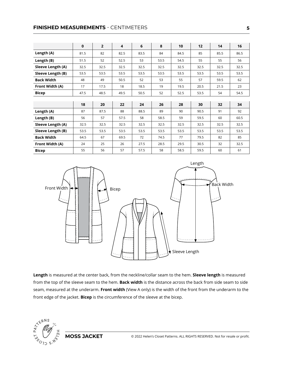### **FINISHED MEASUREMENTS** - CENTIMETERS

|                   | $\mathbf{0}$ | $\overline{2}$ | $\overline{\mathbf{4}}$ | 6    | 8    | 10   | 12   | 14   | 16   |
|-------------------|--------------|----------------|-------------------------|------|------|------|------|------|------|
| Length (A)        | 81.5         | 82             | 82.5                    | 83.5 | 84   | 84.5 | 85   | 85.5 | 86.5 |
| Length (B)        | 51.5         | 52             | 52.5                    | 53   | 53.5 | 54.5 | 55   | 55   | 56   |
| Sleeve Length (A) | 32.5         | 32.5           | 32.5                    | 32.5 | 32.5 | 32.5 | 32.5 | 32.5 | 32.5 |
| Sleeve Length (B) | 53.5         | 53.5           | 53.5                    | 53.5 | 53.5 | 53.5 | 53.5 | 53.5 | 53.5 |
| <b>Back Width</b> | 48           | 49             | 50.5                    | 52   | 53   | 55   | 57   | 59.5 | 62   |
| Front Width (A)   | 17           | 17.5           | 18                      | 18.5 | 19   | 19.5 | 20.5 | 21.5 | 23   |
| <b>Bicep</b>      | 47.5         | 48.5           | 49.5                    | 50.5 | 52   | 52.5 | 53.5 | 54   | 54.5 |
|                   |              |                |                         |      |      |      |      |      |      |
|                   | 18           | 20             | 22                      | 24   | 26   | 28   | 30   | 32   | 34   |
| Length (A)        | 87           | 87.5           | 88                      | 88.5 | 89   | 90   | 90.5 | 91   | 92   |
| Length (B)        | 56           | 57             | 57.5                    | 58   | 58.5 | 59   | 59.5 | 60   | 60.5 |
| Sleeve Length (A) | 32.5         | 32.5           | 32.5                    | 32.5 | 32.5 | 32.5 | 32.5 | 32.5 | 32.5 |
| Sleeve Length (B) | 53.5         | 53.5           | 53.5                    | 53.5 | 53.5 | 53.5 | 53.5 | 53.5 | 53.5 |
| <b>Back Width</b> | 64.5         | 67             | 69.5                    | 72   | 74.5 | 77   | 79.5 | 82   | 85   |
| Front Width (A)   | 24           | 25             | 26                      | 27.5 | 28.5 | 29.5 | 30.5 | 32   | 32.5 |
| <b>Bicep</b>      | 55           | 56             | 57                      | 57.5 | 58   | 58.5 | 59.5 | 60   | 61   |



**Length** is measured at the center back, from the neckline/collar seam to the hem. **Sleeve length** is measured from the top of the sleeve seam to the hem. **Back width** is the distance across the back from side seam to side seam, measured at the underarm. **Front width** (View A only) is the width of the front from the underarm to the front edge of the jacket. **Bicep** is the circumference of the sleeve at the bicep.

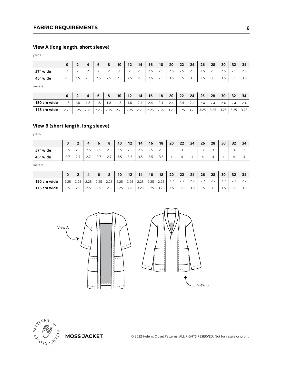## **FABRIC REQUIREMENTS**

# **View A (long length, short sleeve)**

| ۰. |
|----|
|----|

|          | 0   | -      |                               | 6                             | 8                             | 10                            | 12  | 14                   | 16  | 18  | 20                   | 22  | 24               | 26                   | 28  | 30                               | 32    | 34  |
|----------|-----|--------|-------------------------------|-------------------------------|-------------------------------|-------------------------------|-----|----------------------|-----|-----|----------------------|-----|------------------|----------------------|-----|----------------------------------|-------|-----|
| 57" wide | ∸   | ∽<br>∸ | $\overline{\phantom{0}}$<br>∸ | $\overline{\phantom{0}}$<br>∸ | $\overline{\phantom{0}}$<br>∸ | $\overline{\phantom{0}}$<br>∸ | ∸   | $\sim$ $\sim$<br>2.5 | 2.5 | 2.5 | $\sim$ $\sim$<br>ر . | 2.5 | っ<br><u>ر، ح</u> | $\sim$ $\sim$<br>2.5 | د.∠ | $\overline{\phantom{0}}$<br>ر .ے | ر . ے | د.∠ |
| 45" wide | 2.5 | ت ـ ـ  | ر . ے                         | 2.5                           | 2.5                           | 2.5                           | 2.5 | 2.5                  | 2.5 | 2.5 | 3.5                  | 3.5 | 3.5              | 3.5                  | 3.5 | 3.5                              | 3.5   | 3.5 |
| motors   |     |        |                               |                               |                               |                               |     |                      |     |     |                      |     |                  |                      |     |                                  |       |     |

meters

|             |      |     |     |               | 8    | 10   | 12   | 14   | 16   | 18   | 20   | 22   | 24   | 26                      | 28   | 30   | 32 | 34   |
|-------------|------|-----|-----|---------------|------|------|------|------|------|------|------|------|------|-------------------------|------|------|----|------|
| 150 cm wide | .8   | l.8 | .8  | 1.8           | . .8 | .8   | .8   | 2.4  | 2.4  | 2.4  | 2.4  | 2.4  | 2.4  | $\sim$ $\lambda$<br>2.4 | 2.4  | 2.4  |    | 2.4  |
| 115 cm wide | 2.25 | つに  | つつに | つつち<br>ر ے. ے | 2.25 | 2.25 | 2.25 | 2.25 | 2.25 | 2.25 | 3.25 | 3.25 | 3.25 | 3.25                    | 3.25 | 3.25 |    | 3.25 |

# **View B (short length, long sleeve)**

yards

|          |                                        |               |         | b             | $\bullet$<br>۰     | 10                                                          | 12    | 14                                | 16                                | 18  | 20 | 22 | 24     | 26     | 28                            | 30     | 32 | 34 |
|----------|----------------------------------------|---------------|---------|---------------|--------------------|-------------------------------------------------------------|-------|-----------------------------------|-----------------------------------|-----|----|----|--------|--------|-------------------------------|--------|----|----|
| 57" wide | -<br>$\overline{\phantom{0}}$<br>ر . ے | ر . ے         | ر . ے   | $\sim$<br>2.5 | -<br>$\sim$<br>2.5 | $\overline{\phantom{0}}$<br>$\overline{\phantom{a}}$<br>2.5 | ر . ے | $\overline{\phantom{0}}$<br>ر . ے | $\overline{\phantom{0}}$<br>ر . ے | 2.5 | ٮ  | ے  | ∽<br>ت | ∽<br>ٮ | $\overline{\phantom{0}}$<br>ٮ | ∽<br>- | -  |    |
| 45" wide | $\sim$ $\rightarrow$<br>، ے            | -<br><u>.</u> | <u></u> | -<br>ر ے      | –<br>$\sim \cdot$  | $\overline{\phantom{0}}$<br>$\overline{\phantom{a}}$<br>3.5 | 3.5   | -<br>3.5                          | 3.5                               | 3.5 |    |    |        | ↵      |                               |        |    |    |

meters

|             | 0    |      |               | ь     | $\bullet$<br>o | 10   | 12          | 14   | 16   | 18   | 20    | 22     | 24       | 26  | 28       | 30       | 32 | 34       |
|-------------|------|------|---------------|-------|----------------|------|-------------|------|------|------|-------|--------|----------|-----|----------|----------|----|----------|
| 150 cm wide | 2.25 | 2.25 | つに<br>ر ے . د | 2.25  | 2.25           | 2.25 | 2.25        | 2.25 | 2.25 | 2.25 | ، ، ، | $\sim$ | <u>.</u> | ر . | <u>.</u> | <u>.</u> |    | <u>.</u> |
| 115 cm wide | 2.5  | ر…   | ت ک           | ر . ے | 2.5            | 3.25 | つち<br>ر ے.ر | 3.25 | 3.25 | 3.25 | 3.5   | 3.5    | 3.5      | 3.5 | ر…       | ر.ر      |    |          |